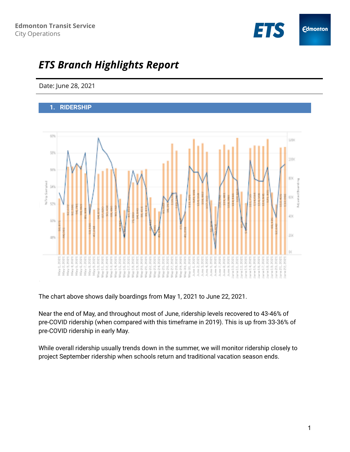

# *ETS Branch Highlights Report*

Date: June 28, 2021

## **1. RIDERSHIP**



The chart above shows daily boardings from May 1, 2021 to June 22, 2021.

Near the end of May, and throughout most of June, ridership levels recovered to 43-46% of pre-COVID ridership (when compared with this timeframe in 2019). This is up from 33-36% of pre-COVID ridership in early May.

While overall ridership usually trends down in the summer, we will monitor ridership closely to project September ridership when schools return and traditional vacation season ends.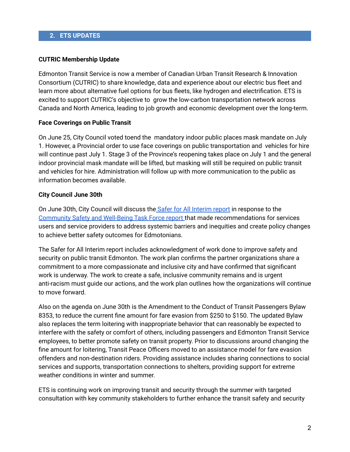#### **CUTRIC Membership Update**

Edmonton Transit Service is now a member of Canadian Urban Transit Research & Innovation Consortium (CUTRIC) to share knowledge, data and experience about our electric bus fleet and learn more about alternative fuel options for bus fleets, like hydrogen and electrification. ETS is excited to support CUTRIC's objective to grow the low-carbon transportation network across Canada and North America, leading to job growth and economic development over the long-term.

#### **Face Coverings on Public Transit**

On June 25, City Council voted toend the mandatory indoor public places mask mandate on July 1. However, a Provincial order to use face coverings on public transportation and vehicles for hire will continue past July 1. Stage 3 of the Province's reopening takes place on July 1 and the general indoor provincial mask mandate will be lifted, but masking will still be required on public transit and vehicles for hire. Administration will follow up with more communication to the public as information becomes available.

## **City Council June 30th**

On June 30th, City Council will discuss the Safer for All [Interim](https://bit.ly/3qa4ENr) report in response to the [Community](https://www.edmonton.ca/sites/default/files/public-files/documents/PDF/SaferForAll-CSWBTaskForce-Report-March30_2021.pdf) Safety and Well-Being Task Force report that made recommendations for services users and service providers to address systemic barriers and inequities and create policy changes to achieve better safety outcomes for Edmotonians.

The Safer for All Interim report includes acknowledgment of work done to improve safety and security on public transit Edmonton. The work plan confirms the partner organizations share a commitment to a more compassionate and inclusive city and have confirmed that significant work is underway. The work to create a safe, inclusive community remains and is urgent anti-racism must guide our actions, and the work plan outlines how the organizations will continue to move forward.

Also on the agenda on June 30th is the Amendment to the Conduct of Transit Passengers Bylaw 8353, to reduce the current fine amount for fare evasion from \$250 to \$150. The updated Bylaw also replaces the term loitering with inappropriate behavior that can reasonably be expected to interfere with the safety or comfort of others, including passengers and Edmonton Transit Service employees, to better promote safety on transit property. Prior to discussions around changing the fine amount for loitering, Transit Peace Officers moved to an assistance model for fare evasion offenders and non-destination riders. Providing assistance includes sharing connections to social services and supports, transportation connections to shelters, providing support for extreme weather conditions in winter and summer.

ETS is continuing work on improving transit and security through the summer with targeted consultation with key community stakeholders to further enhance the transit safety and security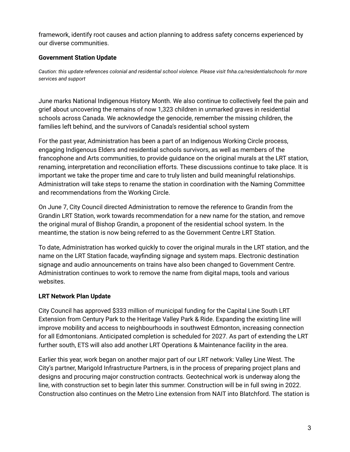framework, identify root causes and action planning to address safety concerns experienced by our diverse communities.

# **Government Station Update**

*Caution: this update references colonial and residential school violence. Please visit fnha.ca/residentialschools for more services and support*

June marks National Indigenous History Month. We also continue to collectively feel the pain and grief about uncovering the remains of now 1,323 children in unmarked graves in residential schools across Canada. We acknowledge the genocide, remember the missing children, the families left behind, and the survivors of Canada's residential school system

For the past year, Administration has been a part of an Indigenous Working Circle process, engaging Indigenous Elders and residential schools survivors, as well as members of the francophone and Arts communities, to provide guidance on the original murals at the LRT station, renaming, interpretation and reconciliation efforts. These discussions continue to take place. It is important we take the proper time and care to truly listen and build meaningful relationships. Administration will take steps to rename the station in coordination with the Naming Committee and recommendations from the Working Circle.

On June 7, City Council directed Administration to remove the reference to Grandin from the Grandin LRT Station, work towards recommendation for a new name for the station, and remove the original mural of Bishop Grandin, a proponent of the residential school system. In the meantime, the station is now being referred to as the Government Centre LRT Station.

To date, Administration has worked quickly to cover the original murals in the LRT station, and the name on the LRT Station facade, wayfinding signage and system maps. Electronic destination signage and audio announcements on trains have also been changed to Government Centre. Administration continues to work to remove the name from digital maps, tools and various websites.

# **LRT Network Plan Update**

City Council has approved \$333 million of municipal funding for the Capital Line South LRT Extension from Century Park to the Heritage Valley Park & Ride. Expanding the existing line will improve mobility and access to neighbourhoods in southwest Edmonton, increasing connection for all Edmontonians. Anticipated completion is scheduled for 2027. As part of extending the LRT further south, ETS will also add another LRT Operations & Maintenance facility in the area.

Earlier this year, work began on another major part of our LRT network: Valley Line West. The City's partner, Marigold Infrastructure Partners, is in the process of preparing project plans and designs and procuring major construction contracts. Geotechnical work is underway along the line, with construction set to begin later this summer. Construction will be in full swing in 2022. Construction also continues on the Metro Line extension from NAIT into Blatchford. The station is